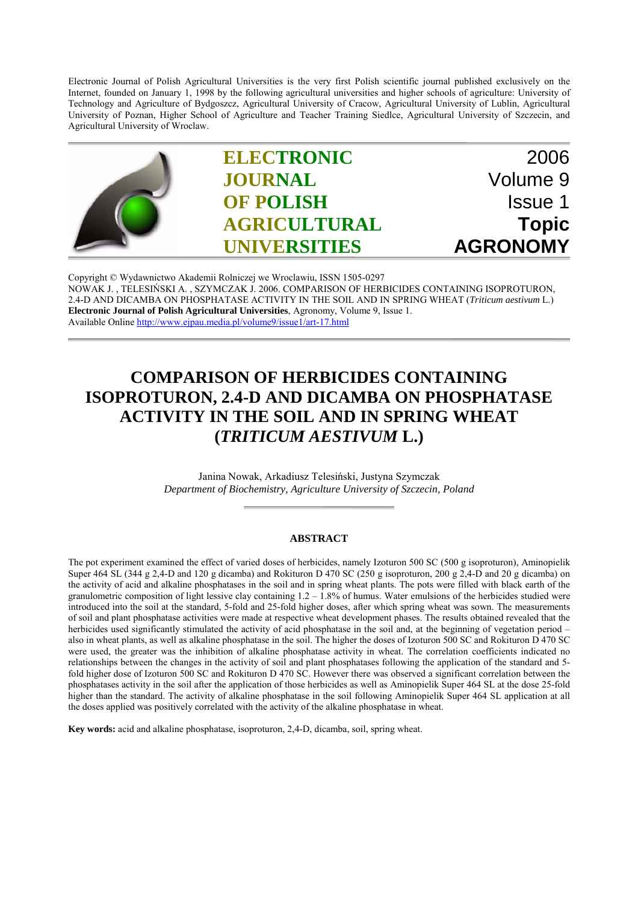Electronic Journal of Polish Agricultural Universities is the very first Polish scientific journal published exclusively on the Internet, founded on January 1, 1998 by the following agricultural universities and higher schools of agriculture: University of Technology and Agriculture of Bydgoszcz, Agricultural University of Cracow, Agricultural University of Lublin, Agricultural University of Poznan, Higher School of Agriculture and Teacher Training Siedlce, Agricultural University of Szczecin, and Agricultural University of Wroclaw.



Copyright © Wydawnictwo Akademii Rolniczej we Wroclawiu, ISSN 1505-0297 NOWAK J. , TELESIŃSKI A. , SZYMCZAK J. 2006. COMPARISON OF HERBICIDES CONTAINING ISOPROTURON, 2.4-D AND DICAMBA ON PHOSPHATASE ACTIVITY IN THE SOIL AND IN SPRING WHEAT (*Triticum aestivum* L.) **Electronic Journal of Polish Agricultural Universities**, Agronomy, Volume 9, Issue 1. Available Online http://www.ejpau.media.pl/volume9/issue1/art-17.html

# **COMPARISON OF HERBICIDES CONTAINING ISOPROTURON, 2.4-D AND DICAMBA ON PHOSPHATASE ACTIVITY IN THE SOIL AND IN SPRING WHEAT (***TRITICUM AESTIVUM* **L.)**

Janina Nowak, Arkadiusz Telesiński, Justyna Szymczak *Department of Biochemistry, Agriculture University of Szczecin, Poland*

#### **ABSTRACT**

The pot experiment examined the effect of varied doses of herbicides, namely Izoturon 500 SC (500 g isoproturon), Aminopielik Super 464 SL (344 g 2,4-D and 120 g dicamba) and Rokituron D 470 SC (250 g isoproturon, 200 g 2,4-D and 20 g dicamba) on the activity of acid and alkaline phosphatases in the soil and in spring wheat plants. The pots were filled with black earth of the granulometric composition of light lessive clay containing  $1.2 - 1.8\%$  of humus. Water emulsions of the herbicides studied were introduced into the soil at the standard, 5-fold and 25-fold higher doses, after which spring wheat was sown. The measurements of soil and plant phosphatase activities were made at respective wheat development phases. The results obtained revealed that the herbicides used significantly stimulated the activity of acid phosphatase in the soil and, at the beginning of vegetation period – also in wheat plants, as well as alkaline phosphatase in the soil. The higher the doses of Izoturon 500 SC and Rokituron D 470 SC were used, the greater was the inhibition of alkaline phosphatase activity in wheat. The correlation coefficients indicated no relationships between the changes in the activity of soil and plant phosphatases following the application of the standard and 5 fold higher dose of Izoturon 500 SC and Rokituron D 470 SC. However there was observed a significant correlation between the phosphatases activity in the soil after the application of those herbicides as well as Aminopielik Super 464 SL at the dose 25-fold higher than the standard. The activity of alkaline phosphatase in the soil following Aminopielik Super 464 SL application at all the doses applied was positively correlated with the activity of the alkaline phosphatase in wheat.

**Key words:** acid and alkaline phosphatase, isoproturon, 2,4-D, dicamba, soil, spring wheat.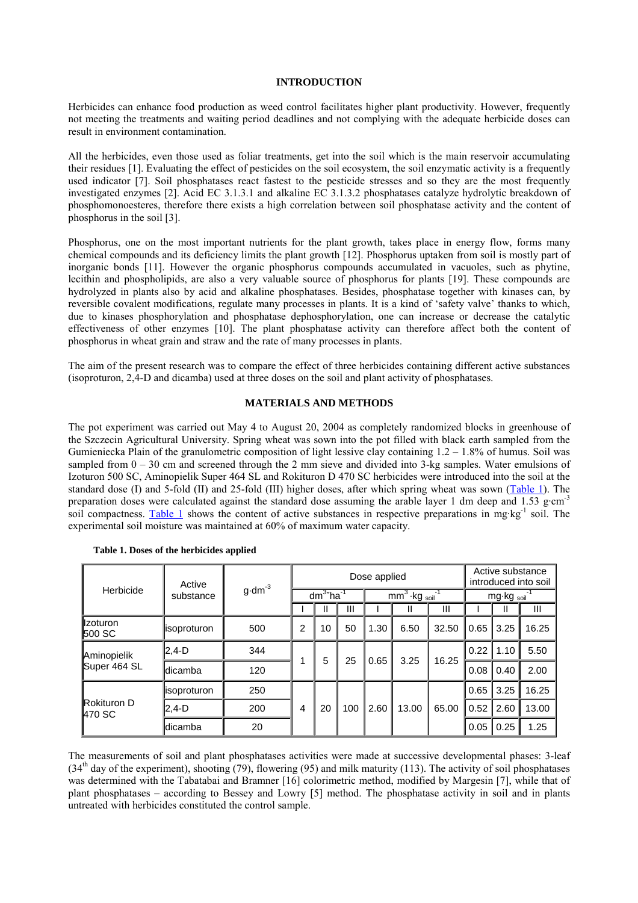#### **INTRODUCTION**

Herbicides can enhance food production as weed control facilitates higher plant productivity. However, frequently not meeting the treatments and waiting period deadlines and not complying with the adequate herbicide doses can result in environment contamination.

All the herbicides, even those used as foliar treatments, get into the soil which is the main reservoir accumulating their residues [1]. Evaluating the effect of pesticides on the soil ecosystem, the soil enzymatic activity is a frequently used indicator [7]. Soil phosphatases react fastest to the pesticide stresses and so they are the most frequently investigated enzymes [2]. Acid EC 3.1.3.1 and alkaline EC 3.1.3.2 phosphatases catalyze hydrolytic breakdown of phosphomonoesteres, therefore there exists a high correlation between soil phosphatase activity and the content of phosphorus in the soil [3].

Phosphorus, one on the most important nutrients for the plant growth, takes place in energy flow, forms many chemical compounds and its deficiency limits the plant growth [12]. Phosphorus uptaken from soil is mostly part of inorganic bonds [11]. However the organic phosphorus compounds accumulated in vacuoles, such as phytine, lecithin and phospholipids, are also a very valuable source of phosphorus for plants [19]. These compounds are hydrolyzed in plants also by acid and alkaline phosphatases. Besides, phosphatase together with kinases can, by reversible covalent modifications, regulate many processes in plants. It is a kind of 'safety valve' thanks to which, due to kinases phosphorylation and phosphatase dephosphorylation, one can increase or decrease the catalytic effectiveness of other enzymes [10]. The plant phosphatase activity can therefore affect both the content of phosphorus in wheat grain and straw and the rate of many processes in plants.

The aim of the present research was to compare the effect of three herbicides containing different active substances (isoproturon, 2,4-D and dicamba) used at three doses on the soil and plant activity of phosphatases.

#### **MATERIALS AND METHODS**

The pot experiment was carried out May 4 to August 20, 2004 as completely randomized blocks in greenhouse of the Szczecin Agricultural University. Spring wheat was sown into the pot filled with black earth sampled from the Gumieniecka Plain of the granulometric composition of light lessive clay containing 1.2 – 1.8% of humus. Soil was sampled from  $0 - 30$  cm and screened through the 2 mm sieve and divided into 3-kg samples. Water emulsions of Izoturon 500 SC, Aminopielik Super 464 SL and Rokituron D 470 SC herbicides were introduced into the soil at the standard dose (I) and 5-fold (II) and 25-fold (III) higher doses, after which spring wheat was sown (Table 1). The preparation doses were calculated against the standard dose assuming the arable layer 1 dm deep and 1.53 g·cm<sup>-3</sup> soil compactness. Table 1 shows the content of active substances in respective preparations in mg·kg<sup>-1</sup> soil. The experimental soil moisture was maintained at 60% of maximum water capacity.

| Herbicide                      | Active<br>substance | $g \cdot dm^{-3}$ | Dose applied       |    |     |                              |       |       | Active substance<br>introduced into soil |      |       |
|--------------------------------|---------------------|-------------------|--------------------|----|-----|------------------------------|-------|-------|------------------------------------------|------|-------|
|                                |                     |                   | $dm3$ <sup>1</sup> |    |     | $mm3$ ·kg soil <sup>-1</sup> |       |       | mg·kg soil                               |      |       |
|                                |                     |                   |                    | Ш  | Ш   |                              | Ш     | Ш     |                                          | Ш    | Ш     |
| llzoturon<br><b>500 SC</b>     | lisoproturon        | 500               | 2                  | 10 | 50  | 1.30                         | 6.50  | 32.50 | 0.65                                     | 3.25 | 16.25 |
| Aminopielik<br>Super 464 SL    | $2.4-D$             | 344               |                    | 5  | 25  | 0.65                         | 3.25  | 16.25 | 0.22                                     | 1.10 | 5.50  |
|                                | <b>Idicamba</b>     | 120               |                    |    |     |                              |       |       | 0.08                                     | 0.40 | 2.00  |
| <b>IRokituron D</b><br>1470 SC | lisoproturon        | 250               | 4                  | 20 | 100 | 2.60                         | 13.00 | 65.00 | 0.65                                     | 3.25 | 16.25 |
|                                | 12.4-D              | 200               |                    |    |     |                              |       |       | 0.52                                     | 2.60 | 13.00 |
|                                | ldicamba            | 20                |                    |    |     |                              |       |       | 0.05                                     | 0.25 | 1.25  |

|  |  |  |  | Table 1. Doses of the herbicides applied |  |
|--|--|--|--|------------------------------------------|--|
|--|--|--|--|------------------------------------------|--|

The measurements of soil and plant phosphatases activities were made at successive developmental phases: 3-leaf  $(34<sup>th</sup>$  day of the experiment), shooting (79), flowering (95) and milk maturity (113). The activity of soil phosphatases was determined with the Tabatabai and Bramner [16] colorimetric method, modified by Margesin [7], while that of plant phosphatases – according to Bessey and Lowry [5] method. The phosphatase activity in soil and in plants untreated with herbicides constituted the control sample.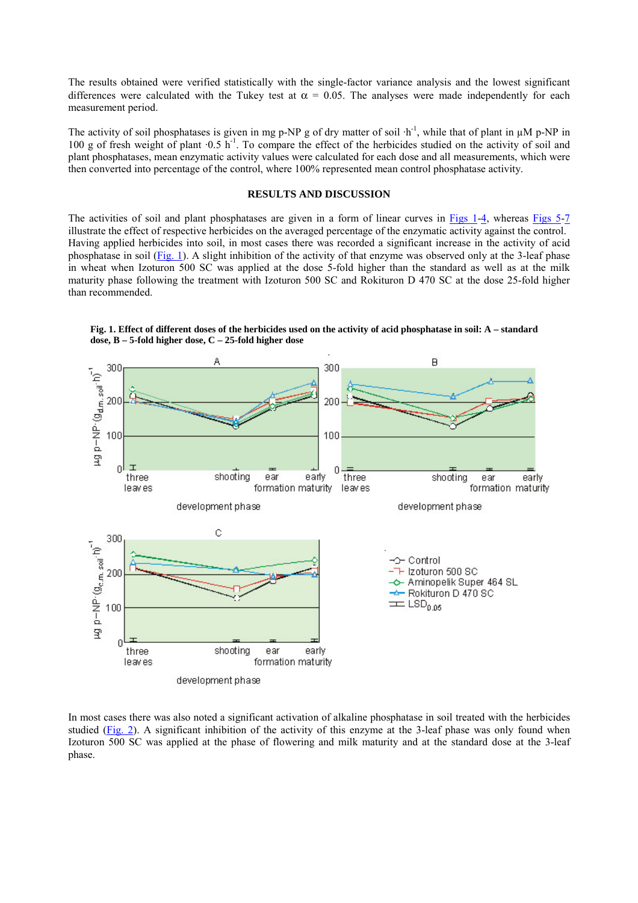The results obtained were verified statistically with the single-factor variance analysis and the lowest significant differences were calculated with the Tukey test at  $\alpha = 0.05$ . The analyses were made independently for each measurement period.

The activity of soil phosphatases is given in mg p-NP g of dry matter of soil  $\cdot h^{-1}$ , while that of plant in  $\mu M$  p-NP in 100 g of fresh weight of plant  $\cdot 0.5$  h<sup>-1</sup>. To compare the effect of the herbicides studied on the activity of soil and plant phosphatases, mean enzymatic activity values were calculated for each dose and all measurements, which were then converted into percentage of the control, where 100% represented mean control phosphatase activity.

## **RESULTS AND DISCUSSION**

The activities of soil and plant phosphatases are given in a form of linear curves in Figs 1-4, whereas Figs 5-7 illustrate the effect of respective herbicides on the averaged percentage of the enzymatic activity against the control. Having applied herbicides into soil, in most cases there was recorded a significant increase in the activity of acid phosphatase in soil (Fig. 1). A slight inhibition of the activity of that enzyme was observed only at the 3-leaf phase in wheat when Izoturon 500 SC was applied at the dose 5-fold higher than the standard as well as at the milk maturity phase following the treatment with Izoturon 500 SC and Rokituron D 470 SC at the dose 25-fold higher than recommended.



**Fig. 1. Effect of different doses of the herbicides used on the activity of acid phosphatase in soil: A – standard dose, B – 5-fold higher dose, C – 25-fold higher dose**

In most cases there was also noted a significant activation of alkaline phosphatase in soil treated with the herbicides studied (Fig. 2). A significant inhibition of the activity of this enzyme at the 3-leaf phase was only found when Izoturon 500 SC was applied at the phase of flowering and milk maturity and at the standard dose at the 3-leaf phase.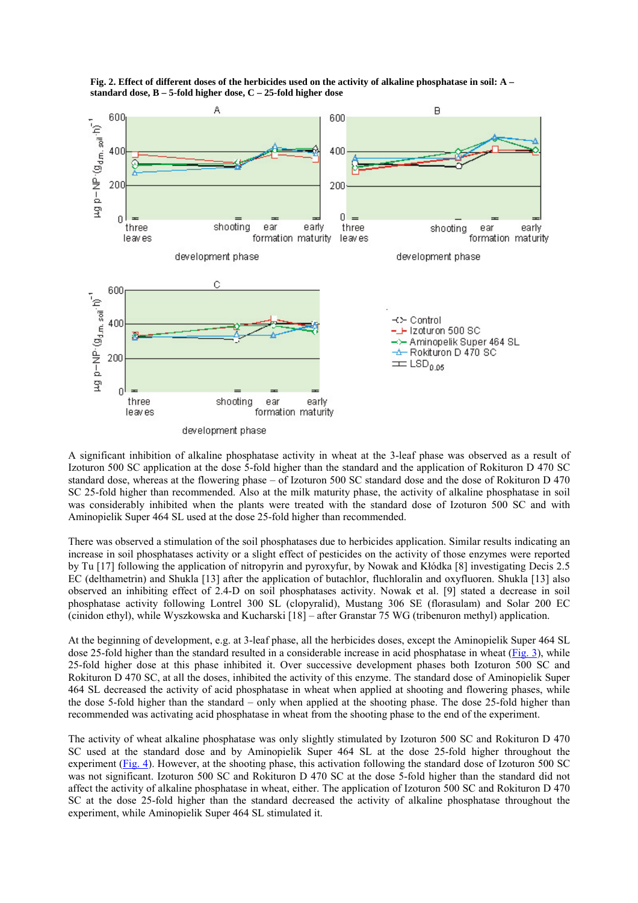

**Fig. 2. Effect of different doses of the herbicides used on the activity of alkaline phosphatase in soil: A – standard dose, B – 5-fold higher dose, C – 25-fold higher dose**

A significant inhibition of alkaline phosphatase activity in wheat at the 3-leaf phase was observed as a result of Izoturon 500 SC application at the dose 5-fold higher than the standard and the application of Rokituron D 470 SC standard dose, whereas at the flowering phase – of Izoturon 500 SC standard dose and the dose of Rokituron D 470 SC 25-fold higher than recommended. Also at the milk maturity phase, the activity of alkaline phosphatase in soil was considerably inhibited when the plants were treated with the standard dose of Izoturon 500 SC and with Aminopielik Super 464 SL used at the dose 25-fold higher than recommended.

There was observed a stimulation of the soil phosphatases due to herbicides application. Similar results indicating an increase in soil phosphatases activity or a slight effect of pesticides on the activity of those enzymes were reported by Tu [17] following the application of nitropyrin and pyroxyfur, by Nowak and Kłódka [8] investigating Decis 2.5 EC (delthametrin) and Shukla [13] after the application of butachlor, fluchloralin and oxyfluoren. Shukla [13] also observed an inhibiting effect of 2.4-D on soil phosphatases activity. Nowak et al. [9] stated a decrease in soil phosphatase activity following Lontrel 300 SL (clopyralid), Mustang 306 SE (florasulam) and Solar 200 EC (cinidon ethyl), while Wyszkowska and Kucharski [18] – after Granstar 75 WG (tribenuron methyl) application.

At the beginning of development, e.g. at 3-leaf phase, all the herbicides doses, except the Aminopielik Super 464 SL dose 25-fold higher than the standard resulted in a considerable increase in acid phosphatase in wheat (Fig. 3), while 25-fold higher dose at this phase inhibited it. Over successive development phases both Izoturon 500 SC and Rokituron D 470 SC, at all the doses, inhibited the activity of this enzyme. The standard dose of Aminopielik Super 464 SL decreased the activity of acid phosphatase in wheat when applied at shooting and flowering phases, while the dose 5-fold higher than the standard – only when applied at the shooting phase. The dose 25-fold higher than recommended was activating acid phosphatase in wheat from the shooting phase to the end of the experiment.

The activity of wheat alkaline phosphatase was only slightly stimulated by Izoturon 500 SC and Rokituron D 470 SC used at the standard dose and by Aminopielik Super 464 SL at the dose 25-fold higher throughout the experiment (Fig. 4). However, at the shooting phase, this activation following the standard dose of Izoturon 500 SC was not significant. Izoturon 500 SC and Rokituron D 470 SC at the dose 5-fold higher than the standard did not affect the activity of alkaline phosphatase in wheat, either. The application of Izoturon 500 SC and Rokituron D 470 SC at the dose 25-fold higher than the standard decreased the activity of alkaline phosphatase throughout the experiment, while Aminopielik Super 464 SL stimulated it.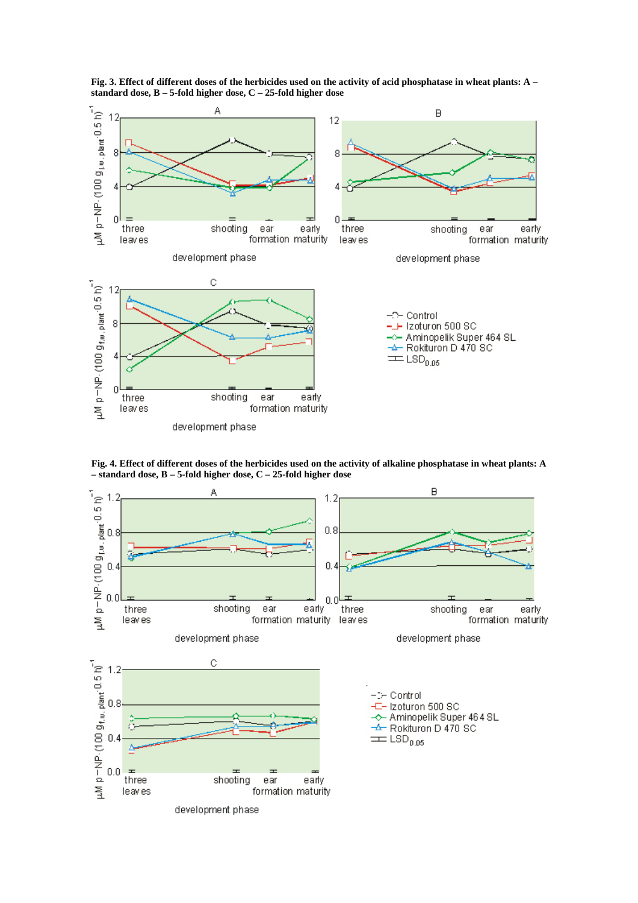

**Fig. 3. Effect of different doses of the herbicides used on the activity of acid phosphatase in wheat plants: A – standard dose, B – 5-fold higher dose, C – 25-fold higher dose**

**Fig. 4. Effect of different doses of the herbicides used on the activity of alkaline phosphatase in wheat plants: A – standard dose, B – 5-fold higher dose, C – 25-fold higher dose**

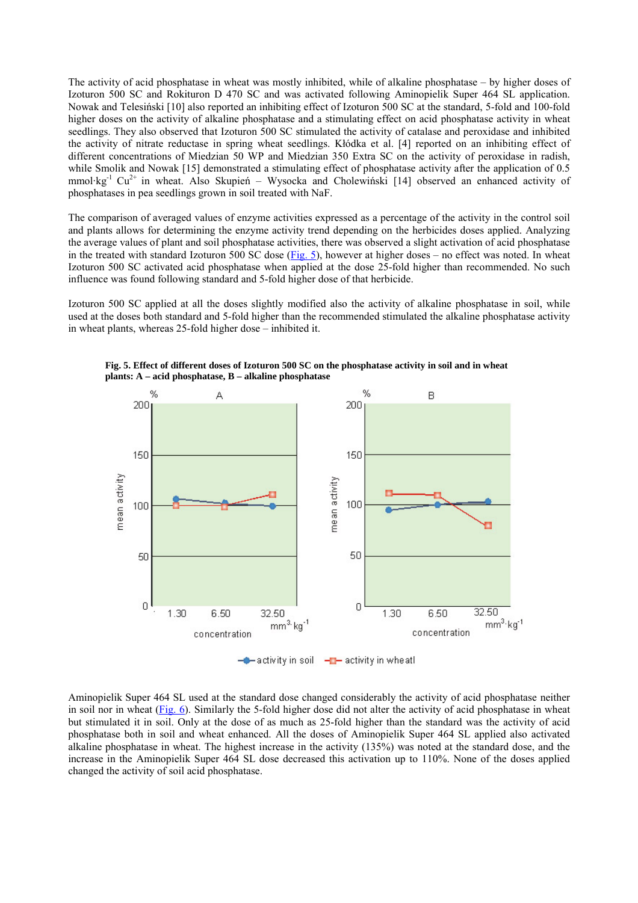The activity of acid phosphatase in wheat was mostly inhibited, while of alkaline phosphatase – by higher doses of Izoturon 500 SC and Rokituron D 470 SC and was activated following Aminopielik Super 464 SL application. Nowak and Telesiński [10] also reported an inhibiting effect of Izoturon 500 SC at the standard, 5-fold and 100-fold higher doses on the activity of alkaline phosphatase and a stimulating effect on acid phosphatase activity in wheat seedlings. They also observed that Izoturon 500 SC stimulated the activity of catalase and peroxidase and inhibited the activity of nitrate reductase in spring wheat seedlings. Kłódka et al. [4] reported on an inhibiting effect of different concentrations of Miedzian 50 WP and Miedzian 350 Extra SC on the activity of peroxidase in radish, while Smolik and Nowak [15] demonstrated a stimulating effect of phosphatase activity after the application of 0.5 mmol·kg<sup>-1</sup> Cu<sup>2+</sup> in wheat. Also Skupień – Wysocka and Cholewiński [14] observed an enhanced activity of phosphatases in pea seedlings grown in soil treated with NaF.

The comparison of averaged values of enzyme activities expressed as a percentage of the activity in the control soil and plants allows for determining the enzyme activity trend depending on the herbicides doses applied. Analyzing the average values of plant and soil phosphatase activities, there was observed a slight activation of acid phosphatase in the treated with standard Izoturon 500 SC dose (Fig. 5), however at higher doses – no effect was noted. In wheat Izoturon 500 SC activated acid phosphatase when applied at the dose 25-fold higher than recommended. No such influence was found following standard and 5-fold higher dose of that herbicide.

Izoturon 500 SC applied at all the doses slightly modified also the activity of alkaline phosphatase in soil, while used at the doses both standard and 5-fold higher than the recommended stimulated the alkaline phosphatase activity in wheat plants, whereas 25-fold higher dose – inhibited it.



**Fig. 5. Effect of different doses of Izoturon 500 SC on the phosphatase activity in soil and in wheat plants: A – acid phosphatase, B – alkaline phosphatase**

- activity in soil - activity in wheat!

Aminopielik Super 464 SL used at the standard dose changed considerably the activity of acid phosphatase neither in soil nor in wheat (Fig. 6). Similarly the 5-fold higher dose did not alter the activity of acid phosphatase in wheat but stimulated it in soil. Only at the dose of as much as 25-fold higher than the standard was the activity of acid phosphatase both in soil and wheat enhanced. All the doses of Aminopielik Super 464 SL applied also activated alkaline phosphatase in wheat. The highest increase in the activity (135%) was noted at the standard dose, and the increase in the Aminopielik Super 464 SL dose decreased this activation up to 110%. None of the doses applied changed the activity of soil acid phosphatase.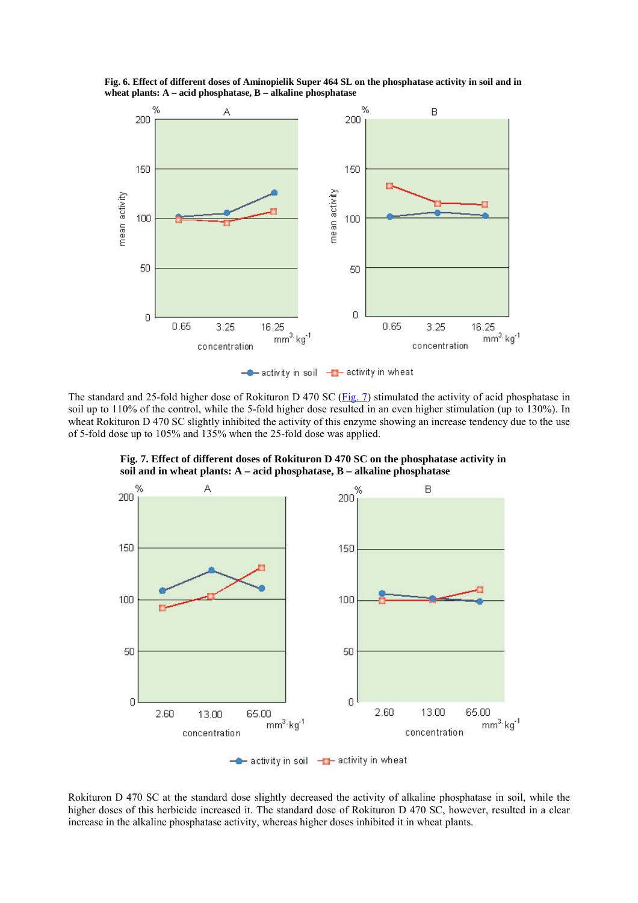**Fig. 6. Effect of different doses of Aminopielik Super 464 SL on the phosphatase activity in soil and in wheat plants: A – acid phosphatase, B – alkaline phosphatase**



 $\leftarrow$  activity in soil  $\leftarrow$  activity in wheat

The standard and 25-fold higher dose of Rokituron D 470 SC (Fig. 7) stimulated the activity of acid phosphatase in soil up to 110% of the control, while the 5-fold higher dose resulted in an even higher stimulation (up to 130%). In wheat Rokituron D 470 SC slightly inhibited the activity of this enzyme showing an increase tendency due to the use of 5-fold dose up to 105% and 135% when the 25-fold dose was applied.

**Fig. 7. Effect of different doses of Rokituron D 470 SC on the phosphatase activity in soil and in wheat plants: A – acid phosphatase, B – alkaline phosphatase**



Rokituron D 470 SC at the standard dose slightly decreased the activity of alkaline phosphatase in soil, while the higher doses of this herbicide increased it. The standard dose of Rokituron D 470 SC, however, resulted in a clear increase in the alkaline phosphatase activity, whereas higher doses inhibited it in wheat plants.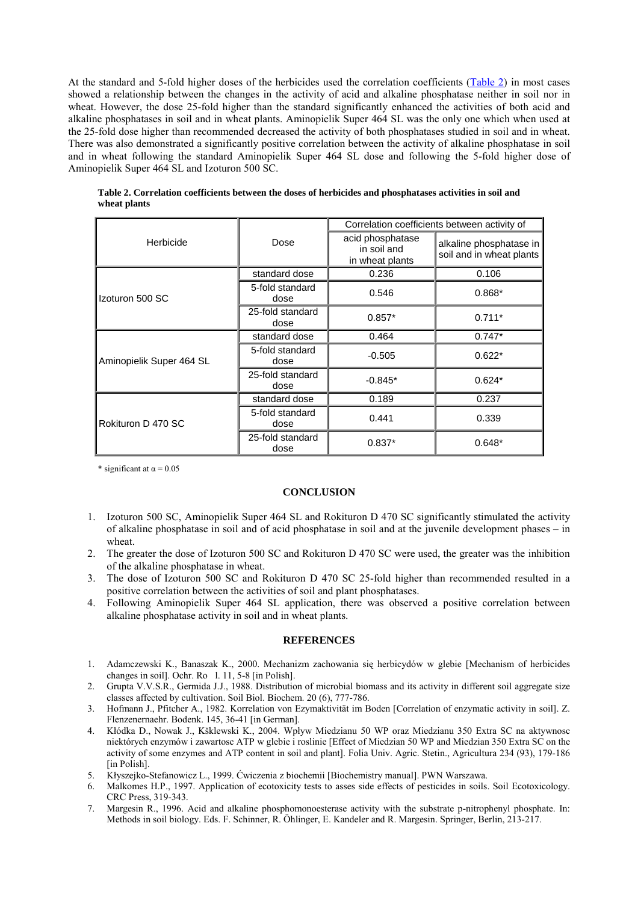At the standard and 5-fold higher doses of the herbicides used the correlation coefficients (Table 2) in most cases showed a relationship between the changes in the activity of acid and alkaline phosphatase neither in soil nor in wheat. However, the dose 25-fold higher than the standard significantly enhanced the activities of both acid and alkaline phosphatases in soil and in wheat plants. Aminopielik Super 464 SL was the only one which when used at the 25-fold dose higher than recommended decreased the activity of both phosphatases studied in soil and in wheat. There was also demonstrated a significantly positive correlation between the activity of alkaline phosphatase in soil and in wheat following the standard Aminopielik Super 464 SL dose and following the 5-fold higher dose of Aminopielik Super 464 SL and Izoturon 500 SC.

|                          |                          | Correlation coefficients between activity of       |                                                     |  |  |
|--------------------------|--------------------------|----------------------------------------------------|-----------------------------------------------------|--|--|
| Herbicide                | Dose                     | acid phosphatase<br>in soil and<br>in wheat plants | alkaline phosphatase in<br>soil and in wheat plants |  |  |
|                          | standard dose            | 0.236                                              | 0.106                                               |  |  |
| Izoturon 500 SC          | 5-fold standard<br>dose  | 0.546                                              | $0.868*$                                            |  |  |
|                          | 25-fold standard<br>dose | $0.857*$                                           | $0.711*$                                            |  |  |
|                          | standard dose            | 0.464                                              | $0.747*$                                            |  |  |
| Aminopielik Super 464 SL | 5-fold standard<br>dose  | $-0.505$                                           | $0.622*$                                            |  |  |
|                          | 25-fold standard<br>dose | $-0.845*$                                          | $0.624*$                                            |  |  |
|                          | standard dose            | 0.189                                              | 0.237                                               |  |  |
| Rokituron D 470 SC       | 5-fold standard<br>dose  | 0.441                                              | 0.339                                               |  |  |
|                          | 25-fold standard<br>dose | $0.837*$                                           | $0.648*$                                            |  |  |

**Table 2. Correlation coefficients between the doses of herbicides and phosphatases activities in soil and wheat plants**

\* significant at  $\alpha$  = 0.05

## **CONCLUSION**

- 1. Izoturon 500 SC, Aminopielik Super 464 SL and Rokituron D 470 SC significantly stimulated the activity of alkaline phosphatase in soil and of acid phosphatase in soil and at the juvenile development phases – in wheat.
- 2. The greater the dose of Izoturon 500 SC and Rokituron D 470 SC were used, the greater was the inhibition of the alkaline phosphatase in wheat.
- 3. The dose of Izoturon 500 SC and Rokituron D 470 SC 25-fold higher than recommended resulted in a positive correlation between the activities of soil and plant phosphatases.
- 4. Following Aminopielik Super 464 SL application, there was observed a positive correlation between alkaline phosphatase activity in soil and in wheat plants.

## **REFERENCES**

- 1. Adamczewski K., Banaszak K., 2000. Mechanizm zachowania się herbicydów w glebie [Mechanism of herbicides changes in soil]. Ochr. Ro $1.11$ , 5-8 [in Polish].
- 2. Grupta V.V.S.R., Germida J.J., 1988. Distribution of microbial biomass and its activity in different soil aggregate size classes affected by cultivation. Soil Biol. Biochem. 20 (6), 777-786.
- 3. Hofmann J., Pfitcher A., 1982. Korrelation von Ezymaktivität im Boden [Correlation of enzymatic activity in soil]. Z. Flenzenernaehr. Bodenk. 145, 36-41 [in German].
- 4. Kłódka D., Nowak J., Kšklewski K., 2004. Wpływ Miedzianu 50 WP oraz Miedzianu 350 Extra SC na aktywnosc niektórych enzymów i zawartosc ATP w glebie i roslinie [Effect of Miedzian 50 WP and Miedzian 350 Extra SC on the activity of some enzymes and ATP content in soil and plant]. Folia Univ. Agric. Stetin., Agricultura 234 (93), 179-186 [in Polish].
- 5. Kłyszejko-Stefanowicz L., 1999. Ćwiczenia z biochemii [Biochemistry manual]. PWN Warszawa.
- 6. Malkomes H.P., 1997. Application of ecotoxicity tests to asses side effects of pesticides in soils. Soil Ecotoxicology. CRC Press, 319-343.
- 7. Margesin R., 1996. Acid and alkaline phosphomonoesterase activity with the substrate p-nitrophenyl phosphate. In: Methods in soil biology. Eds. F. Schinner, R. Öhlinger, E. Kandeler and R. Margesin. Springer, Berlin, 213-217.